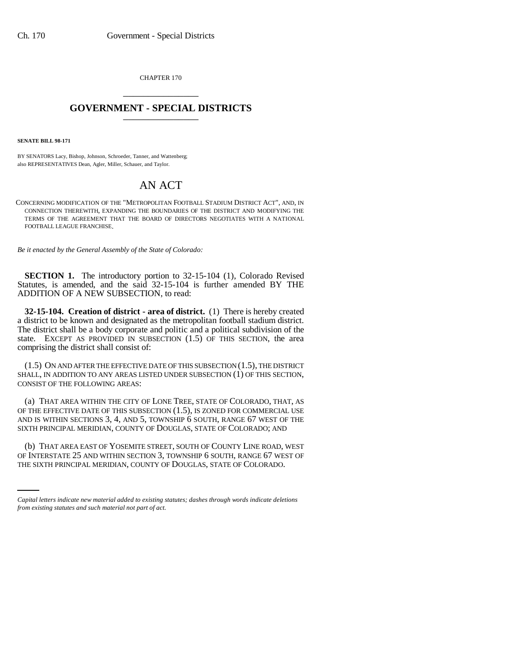CHAPTER 170 \_\_\_\_\_\_\_\_\_\_\_\_\_\_\_

## **GOVERNMENT - SPECIAL DISTRICTS** \_\_\_\_\_\_\_\_\_\_\_\_\_\_\_

**SENATE BILL 98-171**

BY SENATORS Lacy, Bishop, Johnson, Schroeder, Tanner, and Wattenberg; also REPRESENTATIVES Dean, Agler, Miller, Schauer, and Taylor.

## AN ACT

CONCERNING MODIFICATION OF THE "METROPOLITAN FOOTBALL STADIUM DISTRICT ACT", AND, IN CONNECTION THEREWITH, EXPANDING THE BOUNDARIES OF THE DISTRICT AND MODIFYING THE TERMS OF THE AGREEMENT THAT THE BOARD OF DIRECTORS NEGOTIATES WITH A NATIONAL FOOTBALL LEAGUE FRANCHISE.

*Be it enacted by the General Assembly of the State of Colorado:*

**SECTION 1.** The introductory portion to 32-15-104 (1), Colorado Revised Statutes, is amended, and the said 32-15-104 is further amended BY THE ADDITION OF A NEW SUBSECTION, to read:

**32-15-104. Creation of district - area of district.** (1) There is hereby created a district to be known and designated as the metropolitan football stadium district. The district shall be a body corporate and politic and a political subdivision of the state. EXCEPT AS PROVIDED IN SUBSECTION (1.5) OF THIS SECTION, the area comprising the district shall consist of:

(1.5) ON AND AFTER THE EFFECTIVE DATE OF THIS SUBSECTION (1.5), THE DISTRICT SHALL, IN ADDITION TO ANY AREAS LISTED UNDER SUBSECTION (1) OF THIS SECTION, CONSIST OF THE FOLLOWING AREAS:

(a) THAT AREA WITHIN THE CITY OF LONE TREE, STATE OF COLORADO, THAT, AS OF THE EFFECTIVE DATE OF THIS SUBSECTION (1.5), IS ZONED FOR COMMERCIAL USE AND IS WITHIN SECTIONS 3, 4, AND 5, TOWNSHIP 6 SOUTH, RANGE 67 WEST OF THE SIXTH PRINCIPAL MERIDIAN, COUNTY OF DOUGLAS, STATE OF COLORADO; AND

(b) THAT AREA EAST OF YOSEMITE STREET, SOUTH OF COUNTY LINE ROAD, WEST OF INTERSTATE 25 AND WITHIN SECTION 3, TOWNSHIP 6 SOUTH, RANGE 67 WEST OF THE SIXTH PRINCIPAL MERIDIAN, COUNTY OF DOUGLAS, STATE OF COLORADO.

*Capital letters indicate new material added to existing statutes; dashes through words indicate deletions from existing statutes and such material not part of act.*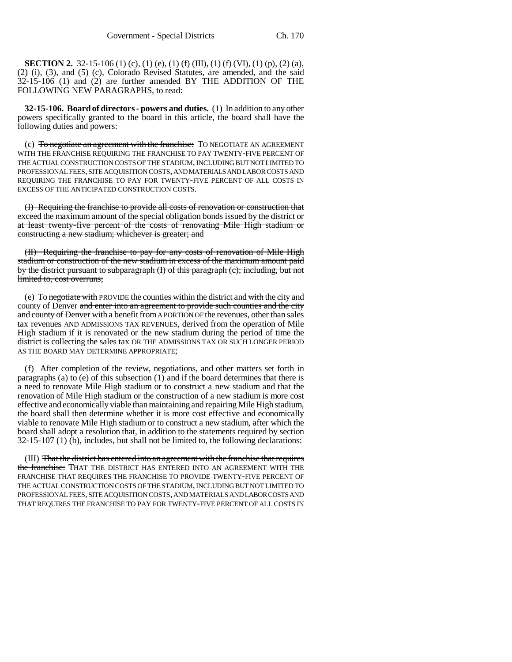**SECTION 2.** 32-15-106 (1) (c), (1) (e), (1) (f) (III), (1) (f) (VI), (1) (p), (2) (a), (2) (i), (3), and (5) (c), Colorado Revised Statutes, are amended, and the said 32-15-106 (1) and (2) are further amended BY THE ADDITION OF THE FOLLOWING NEW PARAGRAPHS, to read:

**32-15-106. Board of directors - powers and duties.** (1) In addition to any other powers specifically granted to the board in this article, the board shall have the following duties and powers:

(c) To negotiate an agreement with the franchise: TO NEGOTIATE AN AGREEMENT WITH THE FRANCHISE REQUIRING THE FRANCHISE TO PAY TWENTY-FIVE PERCENT OF THE ACTUAL CONSTRUCTION COSTS OF THE STADIUM, INCLUDING BUT NOT LIMITED TO PROFESSIONAL FEES, SITE ACQUISITION COSTS, AND MATERIALS AND LABOR COSTS AND REQUIRING THE FRANCHISE TO PAY FOR TWENTY-FIVE PERCENT OF ALL COSTS IN EXCESS OF THE ANTICIPATED CONSTRUCTION COSTS.

(I) Requiring the franchise to provide all costs of renovation or construction that exceed the maximum amount of the special obligation bonds issued by the district or at least twenty-five percent of the costs of renovating Mile High stadium or constructing a new stadium; whichever is greater; and

(II) Requiring the franchise to pay for any costs of renovation of Mile High stadium or construction of the new stadium in excess of the maximum amount paid by the district pursuant to subparagraph (I) of this paragraph (c); including, but not limited to, cost overruns;

(e) To negotiate with PROVIDE the counties within the district and with the city and county of Denver and enter into an agreement to provide such counties and the city and county of Denver with a benefit from A PORTION OF the revenues, other than sales tax revenues AND ADMISSIONS TAX REVENUES, derived from the operation of Mile High stadium if it is renovated or the new stadium during the period of time the district is collecting the sales tax OR THE ADMISSIONS TAX OR SUCH LONGER PERIOD AS THE BOARD MAY DETERMINE APPROPRIATE;

(f) After completion of the review, negotiations, and other matters set forth in paragraphs (a) to (e) of this subsection  $(1)$  and if the board determines that there is a need to renovate Mile High stadium or to construct a new stadium and that the renovation of Mile High stadium or the construction of a new stadium is more cost effective and economically viable than maintaining and repairing Mile High stadium, the board shall then determine whether it is more cost effective and economically viable to renovate Mile High stadium or to construct a new stadium, after which the board shall adopt a resolution that, in addition to the statements required by section 32-15-107 (1) (b), includes, but shall not be limited to, the following declarations:

(III) That the district has entered into an agreement with the franchise that requires the franchise: THAT THE DISTRICT HAS ENTERED INTO AN AGREEMENT WITH THE FRANCHISE THAT REQUIRES THE FRANCHISE TO PROVIDE TWENTY-FIVE PERCENT OF THE ACTUAL CONSTRUCTION COSTS OF THE STADIUM, INCLUDING BUT NOT LIMITED TO PROFESSIONAL FEES, SITE ACQUISITION COSTS, AND MATERIALS AND LABOR COSTS AND THAT REQUIRES THE FRANCHISE TO PAY FOR TWENTY-FIVE PERCENT OF ALL COSTS IN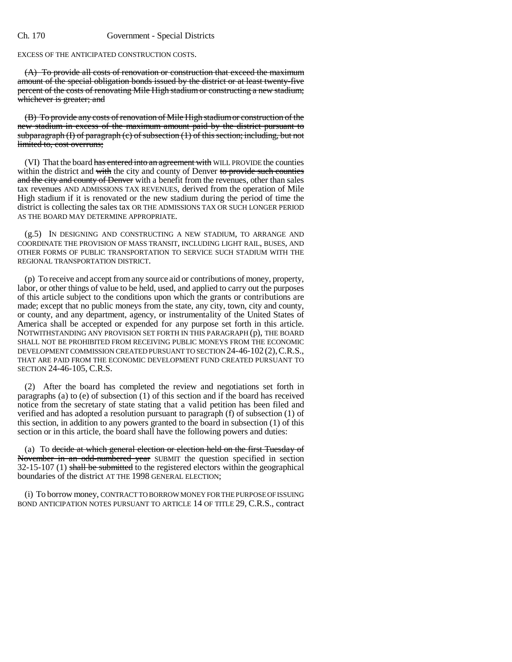EXCESS OF THE ANTICIPATED CONSTRUCTION COSTS.

(A) To provide all costs of renovation or construction that exceed the maximum amount of the special obligation bonds issued by the district or at least twenty-five percent of the costs of renovating Mile High stadium or constructing a new stadium; whichever is greater; and

(B) To provide any costs of renovation of Mile High stadium or construction of the new stadium in excess of the maximum amount paid by the district pursuant to subparagraph (I) of paragraph  $(c)$  of subsection  $(1)$  of this section; including, but not limited to, cost overruns;

(VI) That the board has entered into an agreement with WILL PROVIDE the counties within the district and with the city and county of Denver to provide such counties and the city and county of Denver with a benefit from the revenues, other than sales tax revenues AND ADMISSIONS TAX REVENUES, derived from the operation of Mile High stadium if it is renovated or the new stadium during the period of time the district is collecting the sales tax OR THE ADMISSIONS TAX OR SUCH LONGER PERIOD AS THE BOARD MAY DETERMINE APPROPRIATE.

(g.5) IN DESIGNING AND CONSTRUCTING A NEW STADIUM, TO ARRANGE AND COORDINATE THE PROVISION OF MASS TRANSIT, INCLUDING LIGHT RAIL, BUSES, AND OTHER FORMS OF PUBLIC TRANSPORTATION TO SERVICE SUCH STADIUM WITH THE REGIONAL TRANSPORTATION DISTRICT.

(p) To receive and accept from any source aid or contributions of money, property, labor, or other things of value to be held, used, and applied to carry out the purposes of this article subject to the conditions upon which the grants or contributions are made; except that no public moneys from the state, any city, town, city and county, or county, and any department, agency, or instrumentality of the United States of America shall be accepted or expended for any purpose set forth in this article. NOTWITHSTANDING ANY PROVISION SET FORTH IN THIS PARAGRAPH (p), THE BOARD SHALL NOT BE PROHIBITED FROM RECEIVING PUBLIC MONEYS FROM THE ECONOMIC DEVELOPMENT COMMISSION CREATED PURSUANT TO SECTION 24-46-102 (2),C.R.S., THAT ARE PAID FROM THE ECONOMIC DEVELOPMENT FUND CREATED PURSUANT TO SECTION 24-46-105, C.R.S.

(2) After the board has completed the review and negotiations set forth in paragraphs (a) to (e) of subsection (1) of this section and if the board has received notice from the secretary of state stating that a valid petition has been filed and verified and has adopted a resolution pursuant to paragraph (f) of subsection (1) of this section, in addition to any powers granted to the board in subsection (1) of this section or in this article, the board shall have the following powers and duties:

(a) To decide at which general election or election held on the first Tuesday of November in an odd-numbered year SUBMIT the question specified in section  $32-15-107$  (1) shall be submitted to the registered electors within the geographical boundaries of the district AT THE 1998 GENERAL ELECTION;

(i) To borrow money, CONTRACT TO BORROW MONEY FOR THE PURPOSE OF ISSUING BOND ANTICIPATION NOTES PURSUANT TO ARTICLE 14 OF TITLE 29, C.R.S., contract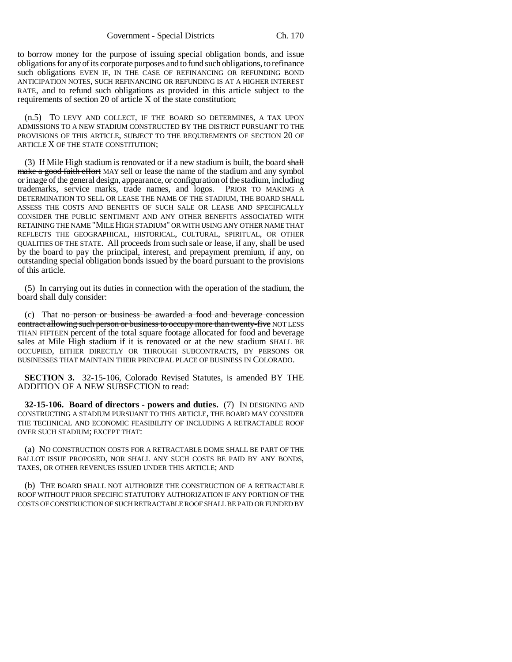to borrow money for the purpose of issuing special obligation bonds, and issue obligations for any of its corporate purposes and to fund such obligations, to refinance such obligations EVEN IF, IN THE CASE OF REFINANCING OR REFUNDING BOND ANTICIPATION NOTES, SUCH REFINANCING OR REFUNDING IS AT A HIGHER INTEREST RATE, and to refund such obligations as provided in this article subject to the requirements of section 20 of article X of the state constitution;

(n.5) TO LEVY AND COLLECT, IF THE BOARD SO DETERMINES, A TAX UPON ADMISSIONS TO A NEW STADIUM CONSTRUCTED BY THE DISTRICT PURSUANT TO THE PROVISIONS OF THIS ARTICLE, SUBJECT TO THE REQUIREMENTS OF SECTION 20 OF ARTICLE X OF THE STATE CONSTITUTION;

(3) If Mile High stadium is renovated or if a new stadium is built, the board shall make a good faith effort MAY sell or lease the name of the stadium and any symbol or image of the general design, appearance, or configuration of the stadium, including trademarks, service marks, trade names, and logos. PRIOR TO MAKING A DETERMINATION TO SELL OR LEASE THE NAME OF THE STADIUM, THE BOARD SHALL ASSESS THE COSTS AND BENEFITS OF SUCH SALE OR LEASE AND SPECIFICALLY CONSIDER THE PUBLIC SENTIMENT AND ANY OTHER BENEFITS ASSOCIATED WITH RETAINING THE NAME "MILE HIGH STADIUM" OR WITH USING ANY OTHER NAME THAT REFLECTS THE GEOGRAPHICAL, HISTORICAL, CULTURAL, SPIRITUAL, OR OTHER QUALITIES OF THE STATE. All proceeds from such sale or lease, if any, shall be used by the board to pay the principal, interest, and prepayment premium, if any, on outstanding special obligation bonds issued by the board pursuant to the provisions of this article.

(5) In carrying out its duties in connection with the operation of the stadium, the board shall duly consider:

(c) That no person or business be awarded a food and beverage concession contract allowing such person or business to occupy more than twenty-five NOT LESS THAN FIFTEEN percent of the total square footage allocated for food and beverage sales at Mile High stadium if it is renovated or at the new stadium SHALL BE OCCUPIED, EITHER DIRECTLY OR THROUGH SUBCONTRACTS, BY PERSONS OR BUSINESSES THAT MAINTAIN THEIR PRINCIPAL PLACE OF BUSINESS IN COLORADO.

**SECTION 3.** 32-15-106, Colorado Revised Statutes, is amended BY THE ADDITION OF A NEW SUBSECTION to read:

**32-15-106. Board of directors - powers and duties.** (7) IN DESIGNING AND CONSTRUCTING A STADIUM PURSUANT TO THIS ARTICLE, THE BOARD MAY CONSIDER THE TECHNICAL AND ECONOMIC FEASIBILITY OF INCLUDING A RETRACTABLE ROOF OVER SUCH STADIUM; EXCEPT THAT:

(a) NO CONSTRUCTION COSTS FOR A RETRACTABLE DOME SHALL BE PART OF THE BALLOT ISSUE PROPOSED, NOR SHALL ANY SUCH COSTS BE PAID BY ANY BONDS, TAXES, OR OTHER REVENUES ISSUED UNDER THIS ARTICLE; AND

(b) THE BOARD SHALL NOT AUTHORIZE THE CONSTRUCTION OF A RETRACTABLE ROOF WITHOUT PRIOR SPECIFIC STATUTORY AUTHORIZATION IF ANY PORTION OF THE COSTS OF CONSTRUCTION OF SUCH RETRACTABLE ROOF SHALL BE PAID OR FUNDED BY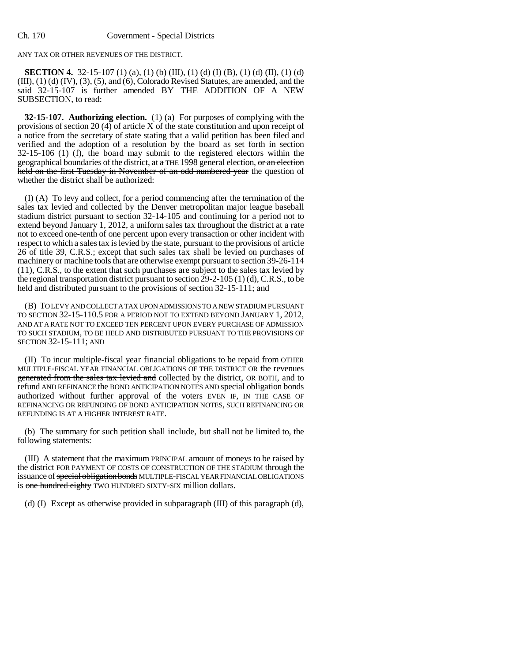ANY TAX OR OTHER REVENUES OF THE DISTRICT.

**SECTION 4.** 32-15-107 (1) (a), (1) (b) (III), (1) (d) (I) (B), (1) (d) (II), (1) (d)  $(III)$ ,  $(1)$   $(d)$   $(IV)$ ,  $(3)$ ,  $(5)$ , and  $(6)$ , Colorado Revised Statutes, are amended, and the said 32-15-107 is further amended BY THE ADDITION OF A NEW SUBSECTION, to read:

**32-15-107. Authorizing election.** (1) (a) For purposes of complying with the provisions of section 20 (4) of article X of the state constitution and upon receipt of a notice from the secretary of state stating that a valid petition has been filed and verified and the adoption of a resolution by the board as set forth in section 32-15-106 (1) (f), the board may submit to the registered electors within the geographical boundaries of the district, at a THE 1998 general election,  $\sigma$  an election held on the first Tuesday in November of an odd-numbered year the question of whether the district shall be authorized:

(I) (A) To levy and collect, for a period commencing after the termination of the sales tax levied and collected by the Denver metropolitan major league baseball stadium district pursuant to section 32-14-105 and continuing for a period not to extend beyond January 1, 2012, a uniform sales tax throughout the district at a rate not to exceed one-tenth of one percent upon every transaction or other incident with respect to which a sales tax is levied by the state, pursuant to the provisions of article 26 of title 39, C.R.S.; except that such sales tax shall be levied on purchases of machinery or machine tools that are otherwise exempt pursuant to section 39-26-114 (11), C.R.S., to the extent that such purchases are subject to the sales tax levied by the regional transportation district pursuant to section 29-2-105 (1) (d), C.R.S., to be held and distributed pursuant to the provisions of section 32-15-111; and

(B) TO LEVY AND COLLECT A TAX UPON ADMISSIONS TO A NEW STADIUM PURSUANT TO SECTION 32-15-110.5 FOR A PERIOD NOT TO EXTEND BEYOND JANUARY 1, 2012, AND AT A RATE NOT TO EXCEED TEN PERCENT UPON EVERY PURCHASE OF ADMISSION TO SUCH STADIUM, TO BE HELD AND DISTRIBUTED PURSUANT TO THE PROVISIONS OF SECTION 32-15-111; AND

(II) To incur multiple-fiscal year financial obligations to be repaid from OTHER MULTIPLE-FISCAL YEAR FINANCIAL OBLIGATIONS OF THE DISTRICT OR the revenues generated from the sales tax levied and collected by the district, OR BOTH, and to refund AND REFINANCE the BOND ANTICIPATION NOTES AND special obligation bonds authorized without further approval of the voters EVEN IF, IN THE CASE OF REFINANCING OR REFUNDING OF BOND ANTICIPATION NOTES, SUCH REFINANCING OR REFUNDING IS AT A HIGHER INTEREST RATE.

(b) The summary for such petition shall include, but shall not be limited to, the following statements:

(III) A statement that the maximum PRINCIPAL amount of moneys to be raised by the district FOR PAYMENT OF COSTS OF CONSTRUCTION OF THE STADIUM through the issuance of special obligation bonds MULTIPLE-FISCAL YEAR FINANCIAL OBLIGATIONS is one hundred eighty TWO HUNDRED SIXTY-SIX million dollars.

(d) (I) Except as otherwise provided in subparagraph (III) of this paragraph (d),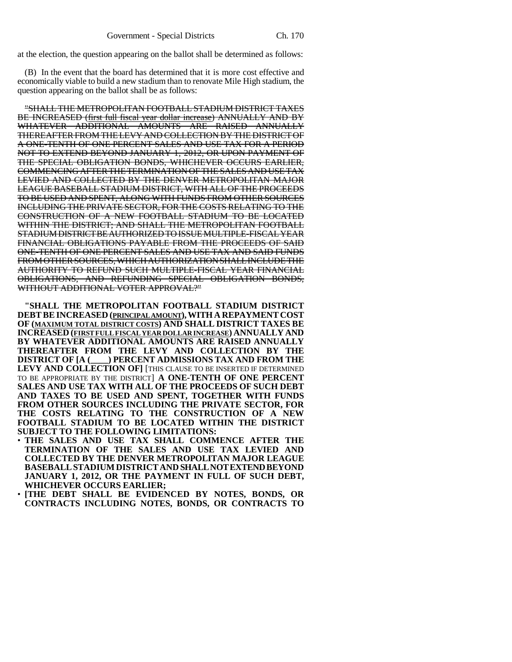at the election, the question appearing on the ballot shall be determined as follows:

(B) In the event that the board has determined that it is more cost effective and economically viable to build a new stadium than to renovate Mile High stadium, the question appearing on the ballot shall be as follows:

"SHALL THE METROPOLITAN FOOTBALL STADIUM DISTRICT TAXES BE INCREASED (first full fiscal year dollar increase) ANNUALLY AND BY WHATEVER ADDITIONAL AMOUNTS ARE RAISED ANNUALLY THEREAFTER FROM THE LEVY AND COLLECTION BY THE DISTRICT OF A ONE-TENTH OF ONE PERCENT SALES AND USE TAX FOR A PERIOD NOT TO EXTEND BEYOND JANUARY 1, 2012, OR UPON PAYMENT OF THE SPECIAL OBLIGATION BONDS, WHICHEVER OCCURS EARLIER, COMMENCING AFTER THE TERMINATION OF THE SALES AND USE TAX LEVIED AND COLLECTED BY THE DENVER METROPOLITAN MAJOR LEAGUE BASEBALL STADIUM DISTRICT, WITH ALL OF THE PROCEEDS TO BE USED AND SPENT, ALONG WITH FUNDS FROM OTHER SOURCES INCLUDING THE PRIVATE SECTOR, FOR THE COSTS RELATING TO THE CONSTRUCTION OF A NEW FOOTBALL STADIUM TO BE LOCATED WITHIN THE DISTRICT; AND SHALL THE METROPOLITAN FOOTBALL STADIUM DISTRICT BE AUTHORIZED TO ISSUE MULTIPLE-FISCAL YEAR FINANCIAL OBLIGATIONS PAYABLE FROM THE PROCEEDS OF SAID ONE-TENTH OF ONE PERCENT SALES AND USE TAX AND SAID FUNDS FROM OTHER SOURCES, WHICH AUTHORIZATION SHALL INCLUDE THE AUTHORITY TO REFUND SUCH MULTIPLE-FISCAL YEAR FINANCIAL OBLIGATIONS, AND REFUNDING SPECIAL OBLIGATION BONDS, WITHOUT ADDITIONAL VOTER APPROVAL?"

**"SHALL THE METROPOLITAN FOOTBALL STADIUM DISTRICT DEBT BE INCREASED (PRINCIPAL AMOUNT), WITH A REPAYMENT COST OF (MAXIMUM TOTAL DISTRICT COSTS) AND SHALL DISTRICT TAXES BE INCREASED (FIRST FULL FISCAL YEAR DOLLAR INCREASE) ANNUALLY AND BY WHATEVER ADDITIONAL AMOUNTS ARE RAISED ANNUALLY THEREAFTER FROM THE LEVY AND COLLECTION BY THE DISTRICT OF [A (\_\_\_\_) PERCENT ADMISSIONS TAX AND FROM THE** LEVY AND COLLECTION OF] [THIS CLAUSE TO BE INSERTED IF DETERMINED TO BE APPROPRIATE BY THE DISTRICT] **A ONE-TENTH OF ONE PERCENT SALES AND USE TAX WITH ALL OF THE PROCEEDS OF SUCH DEBT AND TAXES TO BE USED AND SPENT, TOGETHER WITH FUNDS FROM OTHER SOURCES INCLUDING THE PRIVATE SECTOR, FOR THE COSTS RELATING TO THE CONSTRUCTION OF A NEW FOOTBALL STADIUM TO BE LOCATED WITHIN THE DISTRICT SUBJECT TO THE FOLLOWING LIMITATIONS:**

- THE SALES AND USE TAX SHALL COMMENCE AFTER THE **TERMINATION OF THE SALES AND USE TAX LEVIED AND COLLECTED BY THE DENVER METROPOLITAN MAJOR LEAGUE BASEBALL STADIUM DISTRICT AND SHALL NOT EXTEND BEYOND JANUARY 1, 2012, OR THE PAYMENT IN FULL OF SUCH DEBT, WHICHEVER OCCURS EARLIER;**
- **[THE DEBT SHALL BE EVIDENCED BY NOTES, BONDS, OR CONTRACTS INCLUDING NOTES, BONDS, OR CONTRACTS TO**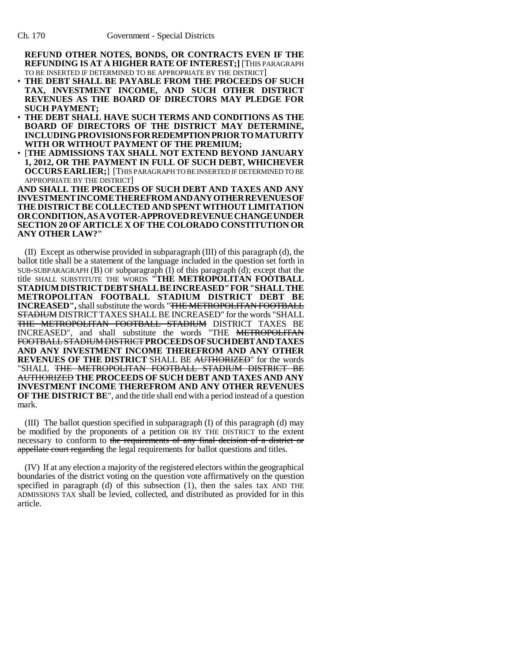**REFUND OTHER NOTES, BONDS, OR CONTRACTS EVEN IF THE REFUNDING IS AT A HIGHER RATE OF INTEREST;]** [THIS PARAGRAPH TO BE INSERTED IF DETERMINED TO BE APPROPRIATE BY THE DISTRICT]

- **THE DEBT SHALL BE PAYABLE FROM THE PROCEEDS OF SUCH TAX, INVESTMENT INCOME, AND SUCH OTHER DISTRICT REVENUES AS THE BOARD OF DIRECTORS MAY PLEDGE FOR SUCH PAYMENT;**
- **THE DEBT SHALL HAVE SUCH TERMS AND CONDITIONS AS THE BOARD OF DIRECTORS OF THE DISTRICT MAY DETERMINE, INCLUDING PROVISIONS FOR REDEMPTION PRIOR TO MATURITY WITH OR WITHOUT PAYMENT OF THE PREMIUM;**
- [**THE ADMISSIONS TAX SHALL NOT EXTEND BEYOND JANUARY 1, 2012, OR THE PAYMENT IN FULL OF SUCH DEBT, WHICHEVER OCCURS EARLIER;**] [THIS PARAGRAPH TO BE INSERTED IF DETERMINED TO BE APPROPRIATE BY THE DISTRICT]

**AND SHALL THE PROCEEDS OF SUCH DEBT AND TAXES AND ANY INVESTMENTINCOMETHEREFROMANDANYOTHERREVENUESOF THE DISTRICT BE COLLECTED AND SPENT WITHOUT LIMITATION ORCONDITION,ASAVOTER-APPROVEDREVENUECHANGEUNDER SECTION 20 OF ARTICLE X OF THE COLORADO CONSTITUTION OR ANY OTHER LAW?"**

(II) Except as otherwise provided in subparagraph (III) of this paragraph (d), the ballot title shall be a statement of the language included in the question set forth in SUB-SUBPARAGRAPH (B) OF subparagraph (I) of this paragraph (d); except that the title SHALL SUBSTITUTE THE WORDS **"THE METROPOLITAN FOOTBALL STADIUMDISTRICTDEBTSHALLBEINCREASED"FOR"SHALLTHE METROPOLITAN FOOTBALL STADIUM DISTRICT DEBT BE INCREASED",** shall substitute the words "THE METROPOLITAN FOOTBALL STADIUM DISTRICT TAXES SHALL BE INCREASED" for the words "SHALL THE METROPOLITAN FOOTBALL STADIUM DISTRICT TAXES BE INCREASED", and shall substitute the words "THE METROPOLITAN FOOTBALL STADIUM DISTRICT**PROCEEDSOFSUCHDEBTANDTAXES AND ANY INVESTMENT INCOME THEREFROM AND ANY OTHER REVENUES OF THE DISTRICT** SHALL BE AUTHORIZED" for the words "SHALL THE METROPOLITAN FOOTBALL STADIUM DISTRICT BE AUTHORIZED **THE PROCEEDS OF SUCH DEBT AND TAXES AND ANY INVESTMENT INCOME THEREFROM AND ANY OTHER REVENUES OF THE DISTRICT BE**", and the title shall end with a period instead of a question mark.

(III) The ballot question specified in subparagraph (I) of this paragraph (d) may be modified by the proponents of a petition OR BY THE DISTRICT to the extent necessary to conform to the requirements of any final decision of a district or appellate court regarding the legal requirements for ballot questions and titles.

(IV) If at any election a majority of the registered electors within the geographical boundaries of the district voting on the question vote affirmatively on the question specified in paragraph (d) of this subsection (1), then the sales tax AND THE ADMISSIONS TAX shall be levied, collected, and distributed as provided for in this article.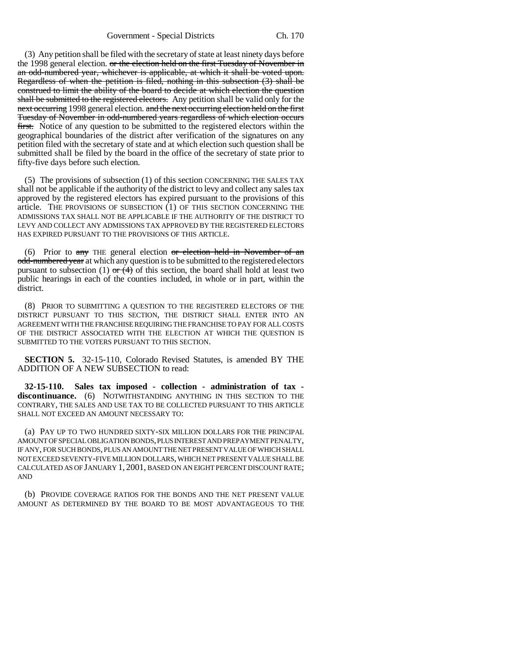(3) Any petition shall be filed with the secretary of state at least ninety days before the 1998 general election. or the election held on the first Tuesday of November in an odd-numbered year, whichever is applicable, at which it shall be voted upon. Regardless of when the petition is filed, nothing in this subsection (3) shall be construed to limit the ability of the board to decide at which election the question shall be submitted to the registered electors. Any petition shall be valid only for the next occurring 1998 general election. and the next occurring election held on the first Tuesday of November in odd-numbered years regardless of which election occurs first. Notice of any question to be submitted to the registered electors within the geographical boundaries of the district after verification of the signatures on any petition filed with the secretary of state and at which election such question shall be submitted shall be filed by the board in the office of the secretary of state prior to fifty-five days before such election.

(5) The provisions of subsection (1) of this section CONCERNING THE SALES TAX shall not be applicable if the authority of the district to levy and collect any sales tax approved by the registered electors has expired pursuant to the provisions of this article. THE PROVISIONS OF SUBSECTION (1) OF THIS SECTION CONCERNING THE ADMISSIONS TAX SHALL NOT BE APPLICABLE IF THE AUTHORITY OF THE DISTRICT TO LEVY AND COLLECT ANY ADMISSIONS TAX APPROVED BY THE REGISTERED ELECTORS HAS EXPIRED PURSUANT TO THE PROVISIONS OF THIS ARTICLE.

(6) Prior to  $\frac{any}{my}$  THE general election  $\frac{or}{my}$  election held in November of an odd-numbered year at which any question is to be submitted to the registered electors pursuant to subsection (1)  $\sigma$  (4) of this section, the board shall hold at least two public hearings in each of the counties included, in whole or in part, within the district.

(8) PRIOR TO SUBMITTING A QUESTION TO THE REGISTERED ELECTORS OF THE DISTRICT PURSUANT TO THIS SECTION, THE DISTRICT SHALL ENTER INTO AN AGREEMENT WITH THE FRANCHISE REQUIRING THE FRANCHISE TO PAY FOR ALL COSTS OF THE DISTRICT ASSOCIATED WITH THE ELECTION AT WHICH THE QUESTION IS SUBMITTED TO THE VOTERS PURSUANT TO THIS SECTION.

**SECTION 5.** 32-15-110, Colorado Revised Statutes, is amended BY THE ADDITION OF A NEW SUBSECTION to read:

**32-15-110. Sales tax imposed - collection - administration of tax discontinuance.** (6) NOTWITHSTANDING ANYTHING IN THIS SECTION TO THE CONTRARY, THE SALES AND USE TAX TO BE COLLECTED PURSUANT TO THIS ARTICLE SHALL NOT EXCEED AN AMOUNT NECESSARY TO:

(a) PAY UP TO TWO HUNDRED SIXTY-SIX MILLION DOLLARS FOR THE PRINCIPAL AMOUNT OF SPECIAL OBLIGATION BONDS, PLUS INTEREST AND PREPAYMENT PENALTY, IF ANY, FOR SUCH BONDS, PLUS AN AMOUNT THE NET PRESENT VALUE OF WHICH SHALL NOT EXCEED SEVENTY-FIVE MILLION DOLLARS, WHICH NET PRESENT VALUE SHALL BE CALCULATED AS OF JANUARY 1, 2001, BASED ON AN EIGHT PERCENT DISCOUNT RATE; AND

(b) PROVIDE COVERAGE RATIOS FOR THE BONDS AND THE NET PRESENT VALUE AMOUNT AS DETERMINED BY THE BOARD TO BE MOST ADVANTAGEOUS TO THE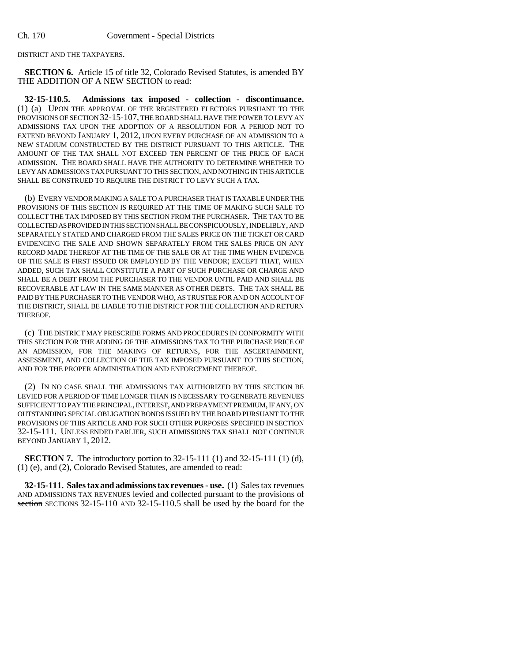DISTRICT AND THE TAXPAYERS.

**SECTION 6.** Article 15 of title 32, Colorado Revised Statutes, is amended BY THE ADDITION OF A NEW SECTION to read:

**32-15-110.5. Admissions tax imposed - collection - discontinuance.** (1) (a) UPON THE APPROVAL OF THE REGISTERED ELECTORS PURSUANT TO THE PROVISIONS OF SECTION 32-15-107, THE BOARD SHALL HAVE THE POWER TO LEVY AN ADMISSIONS TAX UPON THE ADOPTION OF A RESOLUTION FOR A PERIOD NOT TO EXTEND BEYOND JANUARY 1, 2012, UPON EVERY PURCHASE OF AN ADMISSION TO A NEW STADIUM CONSTRUCTED BY THE DISTRICT PURSUANT TO THIS ARTICLE. THE AMOUNT OF THE TAX SHALL NOT EXCEED TEN PERCENT OF THE PRICE OF EACH ADMISSION. THE BOARD SHALL HAVE THE AUTHORITY TO DETERMINE WHETHER TO LEVY AN ADMISSIONS TAX PURSUANT TO THIS SECTION, AND NOTHING IN THIS ARTICLE SHALL BE CONSTRUED TO REQUIRE THE DISTRICT TO LEVY SUCH A TAX.

(b) EVERY VENDOR MAKING A SALE TO A PURCHASER THAT IS TAXABLE UNDER THE PROVISIONS OF THIS SECTION IS REQUIRED AT THE TIME OF MAKING SUCH SALE TO COLLECT THE TAX IMPOSED BY THIS SECTION FROM THE PURCHASER. THE TAX TO BE COLLECTED AS PROVIDED IN THIS SECTION SHALL BE CONSPICUOUSLY, INDELIBLY, AND SEPARATELY STATED AND CHARGED FROM THE SALES PRICE ON THE TICKET OR CARD EVIDENCING THE SALE AND SHOWN SEPARATELY FROM THE SALES PRICE ON ANY RECORD MADE THEREOF AT THE TIME OF THE SALE OR AT THE TIME WHEN EVIDENCE OF THE SALE IS FIRST ISSUED OR EMPLOYED BY THE VENDOR; EXCEPT THAT, WHEN ADDED, SUCH TAX SHALL CONSTITUTE A PART OF SUCH PURCHASE OR CHARGE AND SHALL BE A DEBT FROM THE PURCHASER TO THE VENDOR UNTIL PAID AND SHALL BE RECOVERABLE AT LAW IN THE SAME MANNER AS OTHER DEBTS. THE TAX SHALL BE PAID BY THE PURCHASER TO THE VENDOR WHO, AS TRUSTEE FOR AND ON ACCOUNT OF THE DISTRICT, SHALL BE LIABLE TO THE DISTRICT FOR THE COLLECTION AND RETURN THEREOF.

(c) THE DISTRICT MAY PRESCRIBE FORMS AND PROCEDURES IN CONFORMITY WITH THIS SECTION FOR THE ADDING OF THE ADMISSIONS TAX TO THE PURCHASE PRICE OF AN ADMISSION, FOR THE MAKING OF RETURNS, FOR THE ASCERTAINMENT, ASSESSMENT, AND COLLECTION OF THE TAX IMPOSED PURSUANT TO THIS SECTION, AND FOR THE PROPER ADMINISTRATION AND ENFORCEMENT THEREOF.

(2) IN NO CASE SHALL THE ADMISSIONS TAX AUTHORIZED BY THIS SECTION BE LEVIED FOR A PERIOD OF TIME LONGER THAN IS NECESSARY TO GENERATE REVENUES SUFFICIENT TO PAY THE PRINCIPAL, INTEREST, AND PREPAYMENT PREMIUM, IF ANY, ON OUTSTANDING SPECIAL OBLIGATION BONDS ISSUED BY THE BOARD PURSUANT TO THE PROVISIONS OF THIS ARTICLE AND FOR SUCH OTHER PURPOSES SPECIFIED IN SECTION 32-15-111. UNLESS ENDED EARLIER, SUCH ADMISSIONS TAX SHALL NOT CONTINUE BEYOND JANUARY 1, 2012.

**SECTION 7.** The introductory portion to 32-15-111 (1) and 32-15-111 (1) (d), (1) (e), and (2), Colorado Revised Statutes, are amended to read:

**32-15-111. Sales tax and admissions tax revenues - use.** (1) Sales tax revenues AND ADMISSIONS TAX REVENUES levied and collected pursuant to the provisions of section SECTIONS 32-15-110 AND 32-15-110.5 shall be used by the board for the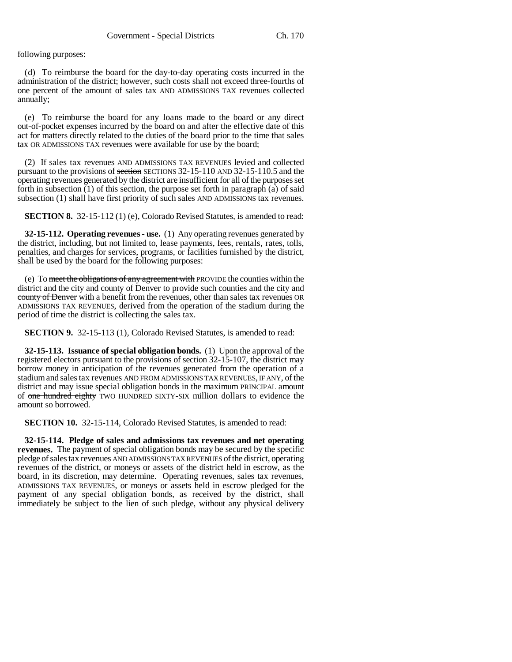following purposes:

(d) To reimburse the board for the day-to-day operating costs incurred in the administration of the district; however, such costs shall not exceed three-fourths of one percent of the amount of sales tax AND ADMISSIONS TAX revenues collected annually;

(e) To reimburse the board for any loans made to the board or any direct out-of-pocket expenses incurred by the board on and after the effective date of this act for matters directly related to the duties of the board prior to the time that sales tax OR ADMISSIONS TAX revenues were available for use by the board;

(2) If sales tax revenues AND ADMISSIONS TAX REVENUES levied and collected pursuant to the provisions of section SECTIONS 32-15-110 AND 32-15-110.5 and the operating revenues generated by the district are insufficient for all of the purposes set forth in subsection (1) of this section, the purpose set forth in paragraph (a) of said subsection (1) shall have first priority of such sales AND ADMISSIONS tax revenues.

**SECTION 8.** 32-15-112 (1) (e), Colorado Revised Statutes, is amended to read:

**32-15-112. Operating revenues - use.** (1) Any operating revenues generated by the district, including, but not limited to, lease payments, fees, rentals, rates, tolls, penalties, and charges for services, programs, or facilities furnished by the district, shall be used by the board for the following purposes:

(e) To meet the obligations of any agreement with PROVIDE the counties within the district and the city and county of Denver to provide such counties and the city and county of Denver with a benefit from the revenues, other than sales tax revenues OR ADMISSIONS TAX REVENUES, derived from the operation of the stadium during the period of time the district is collecting the sales tax.

**SECTION 9.** 32-15-113 (1), Colorado Revised Statutes, is amended to read:

**32-15-113. Issuance of special obligation bonds.** (1) Upon the approval of the registered electors pursuant to the provisions of section 32-15-107, the district may borrow money in anticipation of the revenues generated from the operation of a stadium and sales tax revenues AND FROM ADMISSIONS TAX REVENUES, IF ANY, of the district and may issue special obligation bonds in the maximum PRINCIPAL amount of one hundred eighty TWO HUNDRED SIXTY-SIX million dollars to evidence the amount so borrowed.

**SECTION 10.** 32-15-114, Colorado Revised Statutes, is amended to read:

**32-15-114. Pledge of sales and admissions tax revenues and net operating revenues.** The payment of special obligation bonds may be secured by the specific pledge of sales tax revenues AND ADMISSIONS TAX REVENUES of the district, operating revenues of the district, or moneys or assets of the district held in escrow, as the board, in its discretion, may determine. Operating revenues, sales tax revenues, ADMISSIONS TAX REVENUES, or moneys or assets held in escrow pledged for the payment of any special obligation bonds, as received by the district, shall immediately be subject to the lien of such pledge, without any physical delivery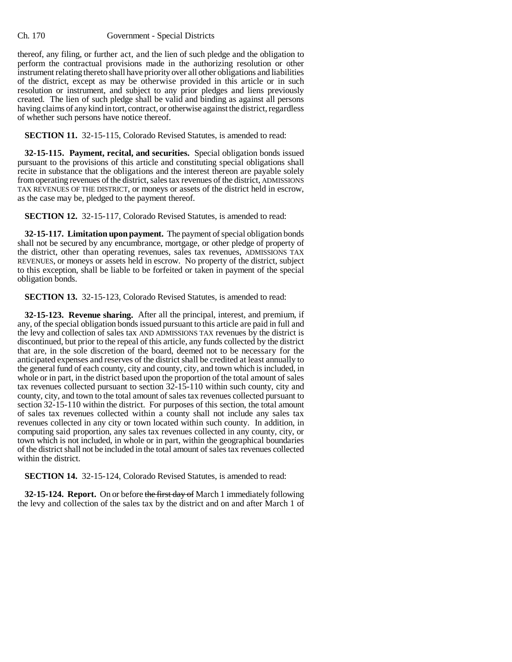## Ch. 170 Government - Special Districts

thereof, any filing, or further act, and the lien of such pledge and the obligation to perform the contractual provisions made in the authorizing resolution or other instrument relating thereto shall have priority over all other obligations and liabilities of the district, except as may be otherwise provided in this article or in such resolution or instrument, and subject to any prior pledges and liens previously created. The lien of such pledge shall be valid and binding as against all persons having claims of any kind in tort, contract, or otherwise against the district, regardless of whether such persons have notice thereof.

**SECTION 11.** 32-15-115, Colorado Revised Statutes, is amended to read:

**32-15-115. Payment, recital, and securities.** Special obligation bonds issued pursuant to the provisions of this article and constituting special obligations shall recite in substance that the obligations and the interest thereon are payable solely from operating revenues of the district, sales tax revenues of the district, ADMISSIONS TAX REVENUES OF THE DISTRICT, or moneys or assets of the district held in escrow, as the case may be, pledged to the payment thereof.

**SECTION 12.** 32-15-117, Colorado Revised Statutes, is amended to read:

**32-15-117. Limitation upon payment.** The payment of special obligation bonds shall not be secured by any encumbrance, mortgage, or other pledge of property of the district, other than operating revenues, sales tax revenues, ADMISSIONS TAX REVENUES, or moneys or assets held in escrow. No property of the district, subject to this exception, shall be liable to be forfeited or taken in payment of the special obligation bonds.

**SECTION 13.** 32-15-123, Colorado Revised Statutes, is amended to read:

**32-15-123. Revenue sharing.** After all the principal, interest, and premium, if any, of the special obligation bonds issued pursuant to this article are paid in full and the levy and collection of sales tax AND ADMISSIONS TAX revenues by the district is discontinued, but prior to the repeal of this article, any funds collected by the district that are, in the sole discretion of the board, deemed not to be necessary for the anticipated expenses and reserves of the district shall be credited at least annually to the general fund of each county, city and county, city, and town which is included, in whole or in part, in the district based upon the proportion of the total amount of sales tax revenues collected pursuant to section 32-15-110 within such county, city and county, city, and town to the total amount of sales tax revenues collected pursuant to section 32-15-110 within the district. For purposes of this section, the total amount of sales tax revenues collected within a county shall not include any sales tax revenues collected in any city or town located within such county. In addition, in computing said proportion, any sales tax revenues collected in any county, city, or town which is not included, in whole or in part, within the geographical boundaries of the district shall not be included in the total amount of sales tax revenues collected within the district.

**SECTION 14.** 32-15-124, Colorado Revised Statutes, is amended to read:

**32-15-124. Report.** On or before the first day of March 1 immediately following the levy and collection of the sales tax by the district and on and after March 1 of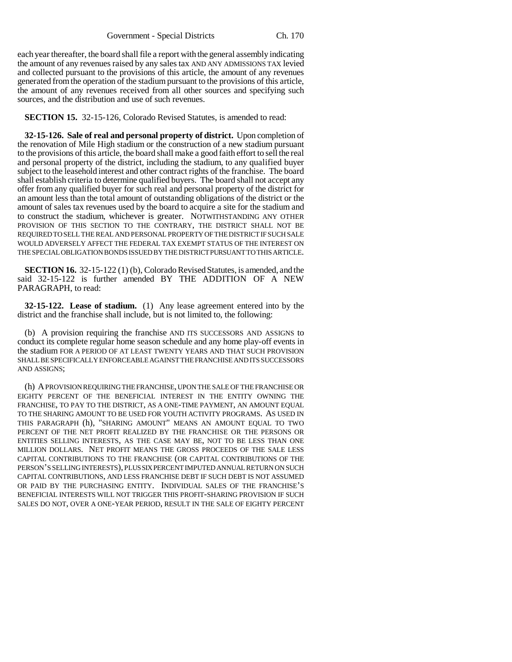each year thereafter, the board shall file a report with the general assembly indicating the amount of any revenues raised by any sales tax AND ANY ADMISSIONS TAX levied and collected pursuant to the provisions of this article, the amount of any revenues generated from the operation of the stadium pursuant to the provisions of this article, the amount of any revenues received from all other sources and specifying such sources, and the distribution and use of such revenues.

**SECTION 15.** 32-15-126, Colorado Revised Statutes, is amended to read:

**32-15-126. Sale of real and personal property of district.** Upon completion of the renovation of Mile High stadium or the construction of a new stadium pursuant to the provisions of this article, the board shall make a good faith effort to sell the real and personal property of the district, including the stadium, to any qualified buyer subject to the leasehold interest and other contract rights of the franchise. The board shall establish criteria to determine qualified buyers. The board shall not accept any offer from any qualified buyer for such real and personal property of the district for an amount less than the total amount of outstanding obligations of the district or the amount of sales tax revenues used by the board to acquire a site for the stadium and to construct the stadium, whichever is greater. NOTWITHSTANDING ANY OTHER PROVISION OF THIS SECTION TO THE CONTRARY, THE DISTRICT SHALL NOT BE REQUIRED TO SELL THE REAL AND PERSONAL PROPERTY OF THE DISTRICT IF SUCH SALE WOULD ADVERSELY AFFECT THE FEDERAL TAX EXEMPT STATUS OF THE INTEREST ON THE SPECIAL OBLIGATION BONDS ISSUED BY THE DISTRICT PURSUANT TO THIS ARTICLE.

**SECTION 16.** 32-15-122 (1) (b), Colorado Revised Statutes, is amended, and the said 32-15-122 is further amended BY THE ADDITION OF A NEW PARAGRAPH, to read:

**32-15-122. Lease of stadium.** (1) Any lease agreement entered into by the district and the franchise shall include, but is not limited to, the following:

(b) A provision requiring the franchise AND ITS SUCCESSORS AND ASSIGNS to conduct its complete regular home season schedule and any home play-off events in the stadium FOR A PERIOD OF AT LEAST TWENTY YEARS AND THAT SUCH PROVISION SHALL BE SPECIFICALLY ENFORCEABLE AGAINST THE FRANCHISE AND ITS SUCCESSORS AND ASSIGNS;

(h) A PROVISION REQUIRING THE FRANCHISE, UPON THE SALE OF THE FRANCHISE OR EIGHTY PERCENT OF THE BENEFICIAL INTEREST IN THE ENTITY OWNING THE FRANCHISE, TO PAY TO THE DISTRICT, AS A ONE-TIME PAYMENT, AN AMOUNT EQUAL TO THE SHARING AMOUNT TO BE USED FOR YOUTH ACTIVITY PROGRAMS. AS USED IN THIS PARAGRAPH (h), "SHARING AMOUNT" MEANS AN AMOUNT EQUAL TO TWO PERCENT OF THE NET PROFIT REALIZED BY THE FRANCHISE OR THE PERSONS OR ENTITIES SELLING INTERESTS, AS THE CASE MAY BE, NOT TO BE LESS THAN ONE MILLION DOLLARS. NET PROFIT MEANS THE GROSS PROCEEDS OF THE SALE LESS CAPITAL CONTRIBUTIONS TO THE FRANCHISE (OR CAPITAL CONTRIBUTIONS OF THE PERSON'S SELLING INTERESTS), PLUS SIX PERCENT IMPUTED ANNUAL RETURN ON SUCH CAPITAL CONTRIBUTIONS, AND LESS FRANCHISE DEBT IF SUCH DEBT IS NOT ASSUMED OR PAID BY THE PURCHASING ENTITY. INDIVIDUAL SALES OF THE FRANCHISE'S BENEFICIAL INTERESTS WILL NOT TRIGGER THIS PROFIT-SHARING PROVISION IF SUCH SALES DO NOT, OVER A ONE-YEAR PERIOD, RESULT IN THE SALE OF EIGHTY PERCENT